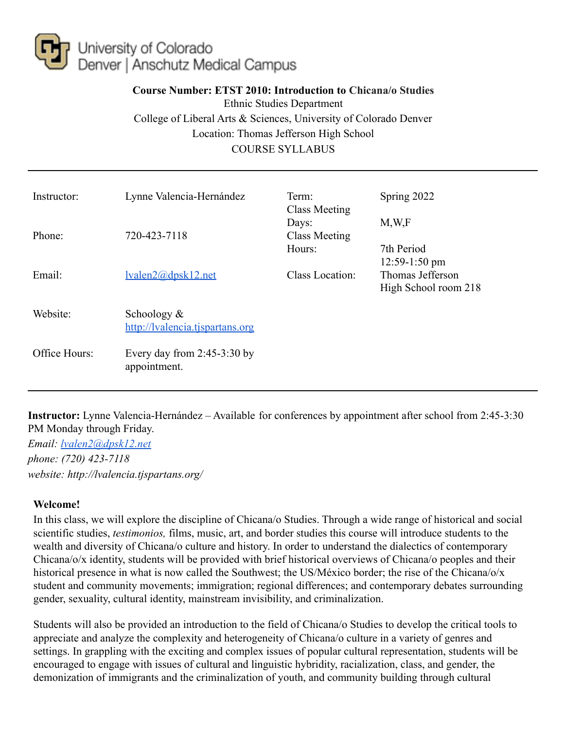

# **Course Number: ETST 2010: Introduction to Chicana/o Studies** Ethnic Studies Department College of Liberal Arts & Sciences, University of Colorado Denver Location: Thomas Jefferson High School COURSE SYLLABUS

| Instructor:   | Lynne Valencia-Hernández                          | Term:<br><b>Class Meeting</b>    | Spring 2022                                                 |
|---------------|---------------------------------------------------|----------------------------------|-------------------------------------------------------------|
| Phone:        | 720-423-7118                                      | Days:<br>Class Meeting<br>Hours: | M, W, F<br>7th Period                                       |
| Email:        | lvalen2@dpsk12.net                                | Class Location:                  | $12:59-1:50$ pm<br>Thomas Jefferson<br>High School room 218 |
| Website:      | Schoology $\&$<br>http://lyalencia.tispartans.org |                                  |                                                             |
| Office Hours: | Every day from $2:45-3:30$ by<br>appointment.     |                                  |                                                             |

**Instructor:** Lynne Valencia-Hernández – Available for conferences by appointment after school from 2:45-3:30 PM Monday through Friday.

*Email: [lvalen2@dpsk12.net](mailto:lvalen2@dpsk12.net) phone: (720) 423-7118 website: http://lvalencia.tjspartans.org/*

### **Welcome!**

In this class, we will explore the discipline of Chicana/o Studies. Through a wide range of historical and social scientific studies, *testimonios,* films, music, art, and border studies this course will introduce students to the wealth and diversity of Chicana/o culture and history. In order to understand the dialectics of contemporary Chicana/o/x identity, students will be provided with brief historical overviews of Chicana/o peoples and their historical presence in what is now called the Southwest; the US/México border; the rise of the Chicana/o/x student and community movements; immigration; regional differences; and contemporary debates surrounding gender, sexuality, cultural identity, mainstream invisibility, and criminalization.

Students will also be provided an introduction to the field of Chicana/o Studies to develop the critical tools to appreciate and analyze the complexity and heterogeneity of Chicana/o culture in a variety of genres and settings. In grappling with the exciting and complex issues of popular cultural representation, students will be encouraged to engage with issues of cultural and linguistic hybridity, racialization, class, and gender, the demonization of immigrants and the criminalization of youth, and community building through cultural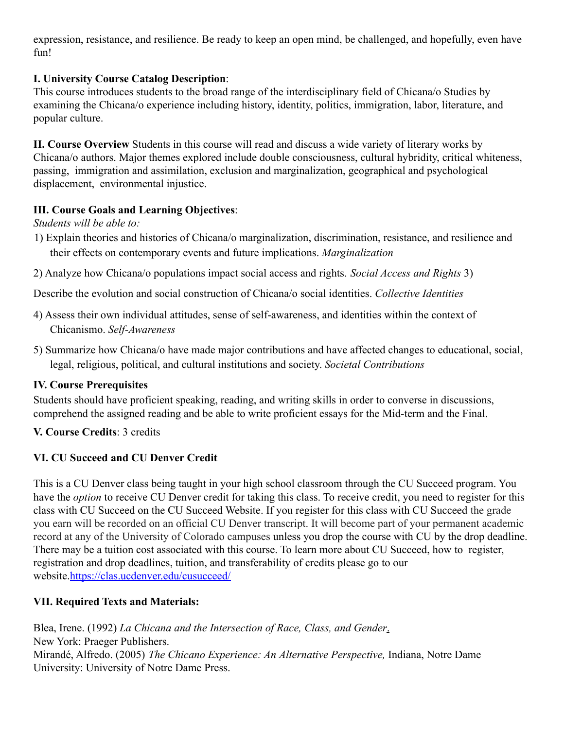expression, resistance, and resilience. Be ready to keep an open mind, be challenged, and hopefully, even have fun!

# **I. University Course Catalog Description**:

This course introduces students to the broad range of the interdisciplinary field of Chicana/o Studies by examining the Chicana/o experience including history, identity, politics, immigration, labor, literature, and popular culture.

**II. Course Overview** Students in this course will read and discuss a wide variety of literary works by Chicana/o authors. Major themes explored include double consciousness, cultural hybridity, critical whiteness, passing, immigration and assimilation, exclusion and marginalization, geographical and psychological displacement, environmental injustice.

# **III. Course Goals and Learning Objectives**:

*Students will be able to:*

- 1) Explain theories and histories of Chicana/o marginalization, discrimination, resistance, and resilience and their effects on contemporary events and future implications. *Marginalization*
- 2) Analyze how Chicana/o populations impact social access and rights. *Social Access and Rights* 3)

Describe the evolution and social construction of Chicana/o social identities. *Collective Identities*

- 4) Assess their own individual attitudes, sense of self-awareness, and identities within the context of Chicanismo. *Self-Awareness*
- 5) Summarize how Chicana/o have made major contributions and have affected changes to educational, social, legal, religious, political, and cultural institutions and society. *Societal Contributions*

# **IV. Course Prerequisites**

Students should have proficient speaking, reading, and writing skills in order to converse in discussions, comprehend the assigned reading and be able to write proficient essays for the Mid-term and the Final.

# **V. Course Credits**: 3 credits

# **VI. CU Succeed and CU Denver Credit**

This is a CU Denver class being taught in your high school classroom through the CU Succeed program. You have the *option* to receive CU Denver credit for taking this class. To receive credit, you need to register for this class with CU Succeed on the CU Succeed Website. If you register for this class with CU Succeed the grade you earn will be recorded on an official CU Denver transcript. It will become part of your permanent academic record at any of the University of Colorado campuses unless you drop the course with CU by the drop deadline. There may be a tuition cost associated with this course. To learn more about CU Succeed, how to register, registration and drop deadlines, tuition, and transferability of credits please go to our website.https://clas.ucdenver.edu/cusucceed/

# **VII. Required Texts and Materials:**

Blea, Irene. (1992) *La Chicana and the Intersection of Race, Class, and Gender*. New York: Praeger Publishers. Mirandé, Alfredo. (2005) *The Chicano Experience: An Alternative Perspective,* Indiana, Notre Dame University: University of Notre Dame Press.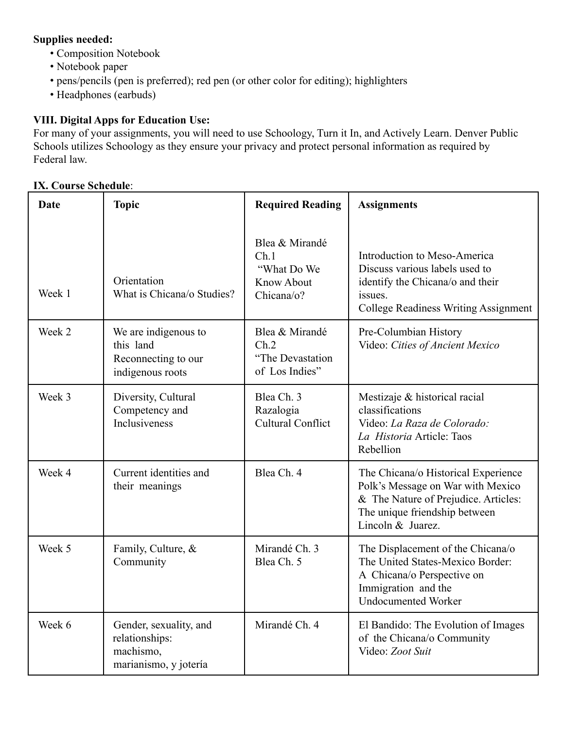# **Supplies needed:**

- Composition Notebook
- Notebook paper
- pens/pencils (pen is preferred); red pen (or other color for editing); highlighters
- Headphones (earbuds)

### **VIII. Digital Apps for Education Use:**

For many of your assignments, you will need to use Schoology, Turn it In, and Actively Learn. Denver Public Schools utilizes Schoology as they ensure your privacy and protect personal information as required by Federal law.

### **IX. Course Schedule**:

| Date   | <b>Topic</b>                                                                   | <b>Required Reading</b>                                                  | <b>Assignments</b>                                                                                                                                                     |
|--------|--------------------------------------------------------------------------------|--------------------------------------------------------------------------|------------------------------------------------------------------------------------------------------------------------------------------------------------------------|
| Week 1 | Orientation<br>What is Chicana/o Studies?                                      | Blea & Mirandé<br>Ch.1<br>"What Do We<br><b>Know About</b><br>Chicana/o? | Introduction to Meso-America<br>Discuss various labels used to<br>identify the Chicana/o and their<br>issues.<br><b>College Readiness Writing Assignment</b>           |
| Week 2 | We are indigenous to<br>this land<br>Reconnecting to our<br>indigenous roots   | Blea & Mirandé<br>Ch.2<br>"The Devastation<br>of Los Indies"             | Pre-Columbian History<br>Video: Cities of Ancient Mexico                                                                                                               |
| Week 3 | Diversity, Cultural<br>Competency and<br>Inclusiveness                         | Blea Ch. 3<br>Razalogia<br><b>Cultural Conflict</b>                      | Mestizaje & historical racial<br>classifications<br>Video: La Raza de Colorado:<br>La Historia Article: Taos<br>Rebellion                                              |
| Week 4 | Current identities and<br>their meanings                                       | Blea Ch. 4                                                               | The Chicana/o Historical Experience<br>Polk's Message on War with Mexico<br>& The Nature of Prejudice. Articles:<br>The unique friendship between<br>Lincoln & Juarez. |
| Week 5 | Family, Culture, &<br>Community                                                | Mirandé Ch. 3<br>Blea Ch. 5                                              | The Displacement of the Chicana/o<br>The United States-Mexico Border:<br>A Chicana/o Perspective on<br>Immigration and the<br><b>Undocumented Worker</b>               |
| Week 6 | Gender, sexuality, and<br>relationships:<br>machismo,<br>marianismo, y jotería | Mirandé Ch. 4                                                            | El Bandido: The Evolution of Images<br>of the Chicana/o Community<br>Video: Zoot Suit                                                                                  |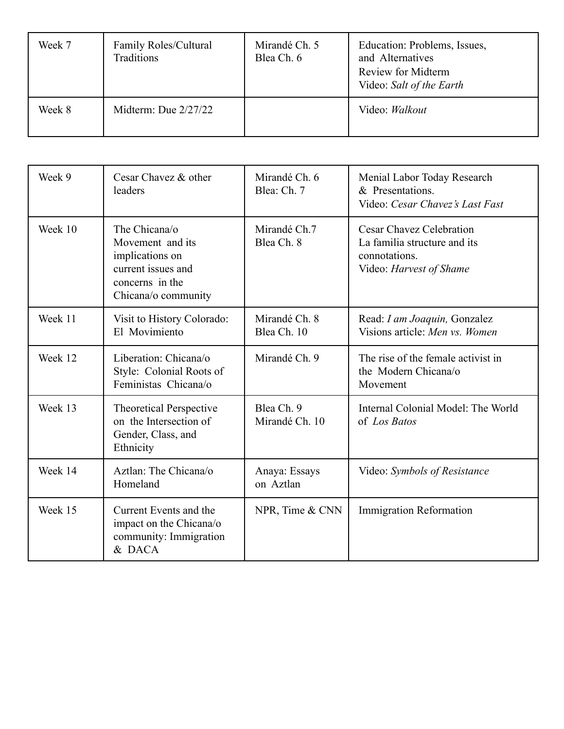| Week 7 | Family Roles/Cultural<br>Traditions | Mirandé Ch. 5<br>Blea Ch. 6 | Education: Problems, Issues,<br>and Alternatives<br>Review for Midterm<br>Video: Salt of the Earth |
|--------|-------------------------------------|-----------------------------|----------------------------------------------------------------------------------------------------|
| Week 8 | Midterm: Due $2/27/22$              |                             | Video: Walkout                                                                                     |

| Week 9  | Cesar Chavez & other<br>leaders                                                                                      | Mirandé Ch. 6<br>Blea: Ch. 7 | Menial Labor Today Research<br>& Presentations.<br>Video: Cesar Chavez's Last Fast                          |
|---------|----------------------------------------------------------------------------------------------------------------------|------------------------------|-------------------------------------------------------------------------------------------------------------|
| Week 10 | The Chicana/o<br>Movement and its<br>implications on<br>current issues and<br>concerns in the<br>Chicana/o community | Mirandé Ch.7<br>Blea Ch. 8   | <b>Cesar Chavez Celebration</b><br>La familia structure and its<br>connotations.<br>Video: Harvest of Shame |
| Week 11 | Visit to History Colorado:<br>El Movimiento                                                                          | Mirandé Ch. 8<br>Blea Ch. 10 | Read: I am Joaquin, Gonzalez<br>Visions article: Men vs. Women                                              |
| Week 12 | Liberation: Chicana/o<br>Style: Colonial Roots of<br>Feministas Chicana/o                                            | Mirandé Ch. 9                | The rise of the female activist in<br>the Modern Chicana/o<br>Movement                                      |
| Week 13 | <b>Theoretical Perspective</b><br>on the Intersection of<br>Gender, Class, and<br>Ethnicity                          | Blea Ch. 9<br>Mirandé Ch. 10 | Internal Colonial Model: The World<br>of Los Batos                                                          |
| Week 14 | Aztlan: The Chicana/o<br>Homeland                                                                                    | Anaya: Essays<br>on Aztlan   | Video: Symbols of Resistance                                                                                |
| Week 15 | Current Events and the<br>impact on the Chicana/o<br>community: Immigration<br>& DACA                                | NPR, Time & CNN              | <b>Immigration Reformation</b>                                                                              |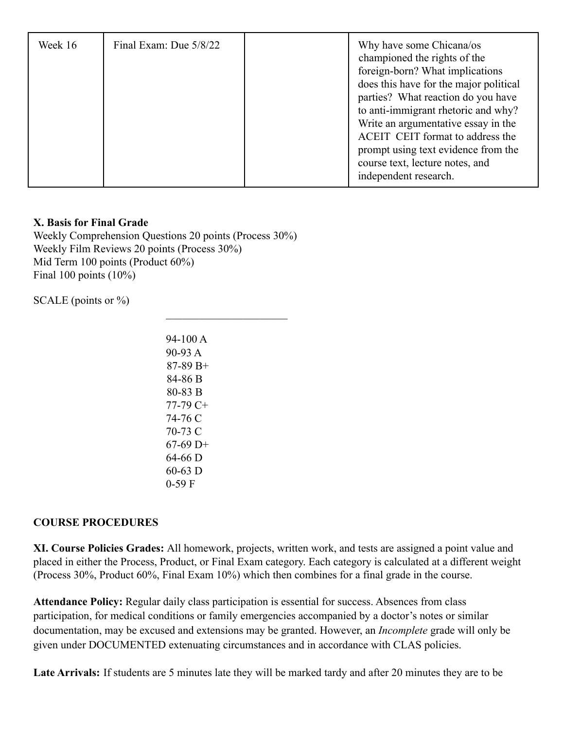| Week 16 | Final Exam: Due $5/8/22$ |  | Why have some Chicana/os<br>championed the rights of the<br>foreign-born? What implications<br>does this have for the major political<br>parties? What reaction do you have<br>to anti-immigrant rhetoric and why?<br>Write an argumentative essay in the<br>ACEIT CEIT format to address the<br>prompt using text evidence from the<br>course text, lecture notes, and<br>independent research. |
|---------|--------------------------|--|--------------------------------------------------------------------------------------------------------------------------------------------------------------------------------------------------------------------------------------------------------------------------------------------------------------------------------------------------------------------------------------------------|
|---------|--------------------------|--|--------------------------------------------------------------------------------------------------------------------------------------------------------------------------------------------------------------------------------------------------------------------------------------------------------------------------------------------------------------------------------------------------|

### **X. Basis for Final Grade**

Weekly Comprehension Questions 20 points (Process 30%) Weekly Film Reviews 20 points (Process 30%) Mid Term 100 points (Product 60%) Final 100 points (10%)

SCALE (points or  $\%$ )

94-100 A 90-93 A 87-89 B+ 84-86 B 80-83 B 77-79 C+ 74-76 C 70-73 C  $67-69$  D+ 64-66 D 60-63 D 0-59 F

 $\overline{\phantom{a}}$  , where  $\overline{\phantom{a}}$ 

### **COURSE PROCEDURES**

**XI. Course Policies Grades:** All homework, projects, written work, and tests are assigned a point value and placed in either the Process, Product, or Final Exam category. Each category is calculated at a different weight (Process 30%, Product 60%, Final Exam 10%) which then combines for a final grade in the course.

**Attendance Policy:** Regular daily class participation is essential for success. Absences from class participation, for medical conditions or family emergencies accompanied by a doctor's notes or similar documentation, may be excused and extensions may be granted. However, an *Incomplete* grade will only be given under DOCUMENTED extenuating circumstances and in accordance with CLAS policies.

**Late Arrivals:** If students are 5 minutes late they will be marked tardy and after 20 minutes they are to be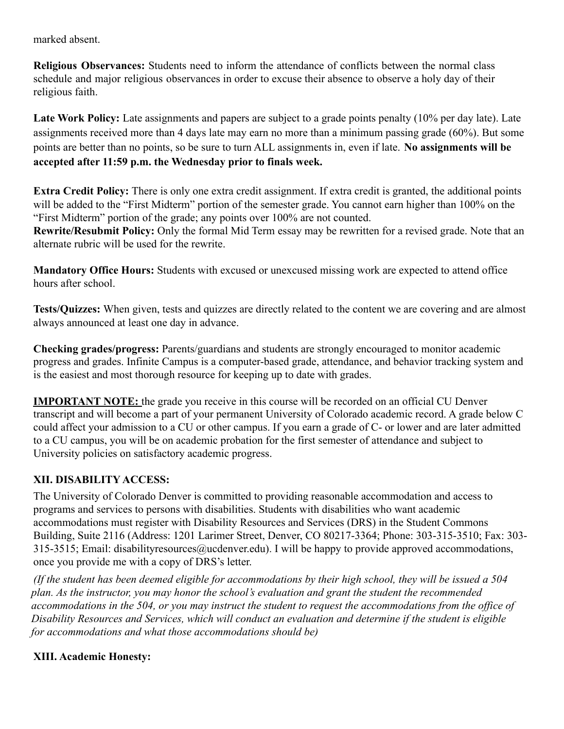marked absent.

**Religious Observances:** Students need to inform the attendance of conflicts between the normal class schedule and major religious observances in order to excuse their absence to observe a holy day of their religious faith.

**Late Work Policy:** Late assignments and papers are subject to a grade points penalty (10% per day late). Late assignments received more than 4 days late may earn no more than a minimum passing grade (60%). But some points are better than no points, so be sure to turn ALL assignments in, even if late. **No assignments will be accepted after 11:59 p.m. the Wednesday prior to finals week.**

**Extra Credit Policy:** There is only one extra credit assignment. If extra credit is granted, the additional points will be added to the "First Midterm" portion of the semester grade. You cannot earn higher than 100% on the "First Midterm" portion of the grade; any points over 100% are not counted.

**Rewrite/Resubmit Policy:** Only the formal Mid Term essay may be rewritten for a revised grade. Note that an alternate rubric will be used for the rewrite.

**Mandatory Office Hours:** Students with excused or unexcused missing work are expected to attend office hours after school.

**Tests/Quizzes:** When given, tests and quizzes are directly related to the content we are covering and are almost always announced at least one day in advance.

**Checking grades/progress:** Parents/guardians and students are strongly encouraged to monitor academic progress and grades. Infinite Campus is a computer-based grade, attendance, and behavior tracking system and is the easiest and most thorough resource for keeping up to date with grades.

**IMPORTANT NOTE:** the grade you receive in this course will be recorded on an official CU Denver transcript and will become a part of your permanent University of Colorado academic record. A grade below C could affect your admission to a CU or other campus. If you earn a grade of C- or lower and are later admitted to a CU campus, you will be on academic probation for the first semester of attendance and subject to University policies on satisfactory academic progress.

# **XII. DISABILITY ACCESS:**

The University of Colorado Denver is committed to providing reasonable accommodation and access to programs and services to persons with disabilities. Students with disabilities who want academic accommodations must register with Disability Resources and Services (DRS) in the Student Commons Building, Suite 2116 (Address: 1201 Larimer Street, Denver, CO 80217-3364; Phone: 303-315-3510; Fax: 303- 315-3515; Email: disabilityresources@ucdenver.edu). I will be happy to provide approved accommodations, once you provide me with a copy of DRS's letter.

*(If the student has been deemed eligible for accommodations by their high school, they will be issued a 504 plan. As the instructor, you may honor the school's evaluation and grant the student the recommended accommodations in the 504, or you may instruct the student to request the accommodations from the office of Disability Resources and Services, which will conduct an evaluation and determine if the student is eligible for accommodations and what those accommodations should be)*

### **XIII. Academic Honesty:**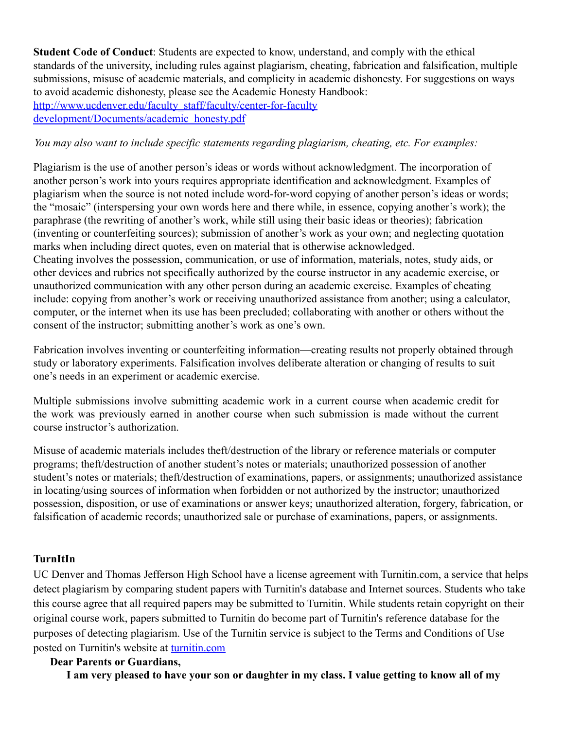**Student Code of Conduct**: Students are expected to know, understand, and comply with the ethical standards of the university, including rules against plagiarism, cheating, fabrication and falsification, multiple submissions, misuse of academic materials, and complicity in academic dishonesty. For suggestions on ways to avoid academic dishonesty, please see the Academic Honesty Handbook: http://www.ucdenver.edu/faculty\_staff/faculty/center-for-faculty

development/Documents/academic\_honesty.pdf

#### *You may also want to include specific statements regarding plagiarism, cheating, etc. For examples:*

Plagiarism is the use of another person's ideas or words without acknowledgment. The incorporation of another person's work into yours requires appropriate identification and acknowledgment. Examples of plagiarism when the source is not noted include word-for-word copying of another person's ideas or words; the "mosaic" (interspersing your own words here and there while, in essence, copying another's work); the paraphrase (the rewriting of another's work, while still using their basic ideas or theories); fabrication (inventing or counterfeiting sources); submission of another's work as your own; and neglecting quotation marks when including direct quotes, even on material that is otherwise acknowledged. Cheating involves the possession, communication, or use of information, materials, notes, study aids, or other devices and rubrics not specifically authorized by the course instructor in any academic exercise, or unauthorized communication with any other person during an academic exercise. Examples of cheating include: copying from another's work or receiving unauthorized assistance from another; using a calculator, computer, or the internet when its use has been precluded; collaborating with another or others without the consent of the instructor; submitting another's work as one's own.

Fabrication involves inventing or counterfeiting information—creating results not properly obtained through study or laboratory experiments. Falsification involves deliberate alteration or changing of results to suit one's needs in an experiment or academic exercise.

Multiple submissions involve submitting academic work in a current course when academic credit for the work was previously earned in another course when such submission is made without the current course instructor's authorization.

Misuse of academic materials includes theft/destruction of the library or reference materials or computer programs; theft/destruction of another student's notes or materials; unauthorized possession of another student's notes or materials; theft/destruction of examinations, papers, or assignments; unauthorized assistance in locating/using sources of information when forbidden or not authorized by the instructor; unauthorized possession, disposition, or use of examinations or answer keys; unauthorized alteration, forgery, fabrication, or falsification of academic records; unauthorized sale or purchase of examinations, papers, or assignments.

### **TurnItIn**

UC Denver and Thomas Jefferson High School have a license agreement with Turnitin.com, a service that helps detect plagiarism by comparing student papers with Turnitin's database and Internet sources. Students who take this course agree that all required papers may be submitted to Turnitin. While students retain copyright on their original course work, papers submitted to Turnitin do become part of Turnitin's reference database for the purposes of detecting plagiarism. Use of the Turnitin service is subject to the Terms and Conditions of Use posted on Turnitin's website at turnitin.com

#### **Dear Parents or Guardians,**

**I am very pleased to have your son or daughter in my class. I value getting to know all of my**